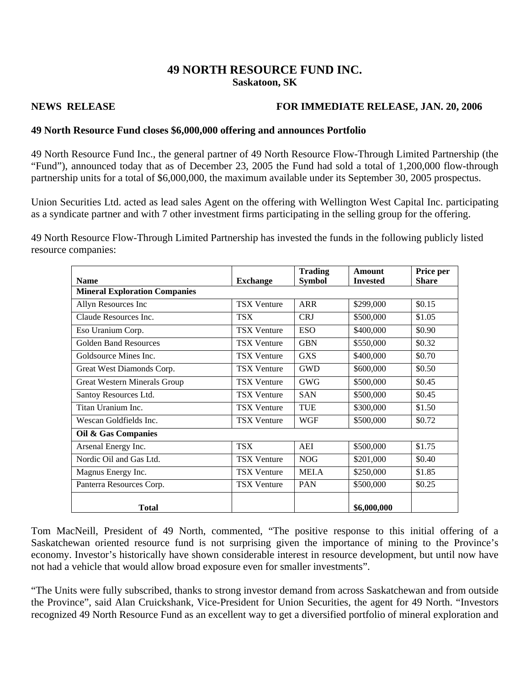## **49 NORTH RESOURCE FUND INC. Saskatoon, SK**

## **NEWS RELEASE FOR IMMEDIATE RELEASE, JAN. 20, 2006**

## **49 North Resource Fund closes \$6,000,000 offering and announces Portfolio**

49 North Resource Fund Inc., the general partner of 49 North Resource Flow-Through Limited Partnership (the "Fund"), announced today that as of December 23, 2005 the Fund had sold a total of 1,200,000 flow-through partnership units for a total of \$6,000,000, the maximum available under its September 30, 2005 prospectus.

Union Securities Ltd. acted as lead sales Agent on the offering with Wellington West Capital Inc. participating as a syndicate partner and with 7 other investment firms participating in the selling group for the offering.

49 North Resource Flow-Through Limited Partnership has invested the funds in the following publicly listed resource companies:

| <b>Name</b>                          | <b>Exchange</b>    | <b>Trading</b><br><b>Symbol</b> | Amount<br><b>Invested</b> | <b>Price per</b><br><b>Share</b> |
|--------------------------------------|--------------------|---------------------------------|---------------------------|----------------------------------|
| <b>Mineral Exploration Companies</b> |                    |                                 |                           |                                  |
| Allyn Resources Inc                  | <b>TSX Venture</b> | <b>ARR</b>                      | \$299,000                 | \$0.15                           |
| Claude Resources Inc.                | <b>TSX</b>         | <b>CRJ</b>                      | \$500,000                 | \$1.05                           |
| Eso Uranium Corp.                    | <b>TSX Venture</b> | <b>ESO</b>                      | \$400,000                 | \$0.90                           |
| <b>Golden Band Resources</b>         | <b>TSX</b> Venture | <b>GBN</b>                      | \$550,000                 | \$0.32                           |
| Goldsource Mines Inc.                | <b>TSX Venture</b> | <b>GXS</b>                      | \$400,000                 | \$0.70                           |
| Great West Diamonds Corp.            | <b>TSX Venture</b> | <b>GWD</b>                      | \$600,000                 | \$0.50                           |
| Great Western Minerals Group         | <b>TSX Venture</b> | <b>GWG</b>                      | \$500,000                 | \$0.45                           |
| Santoy Resources Ltd.                | <b>TSX Venture</b> | <b>SAN</b>                      | \$500,000                 | \$0.45                           |
| Titan Uranium Inc.                   | <b>TSX Venture</b> | <b>TUE</b>                      | \$300,000                 | \$1.50                           |
| Wescan Goldfields Inc.               | <b>TSX Venture</b> | WGF                             | \$500,000                 | \$0.72                           |
| Oil & Gas Companies                  |                    |                                 |                           |                                  |
| Arsenal Energy Inc.                  | <b>TSX</b>         | AEI                             | \$500,000                 | \$1.75                           |
| Nordic Oil and Gas Ltd.              | <b>TSX Venture</b> | <b>NOG</b>                      | \$201,000                 | \$0.40                           |
| Magnus Energy Inc.                   | <b>TSX Venture</b> | <b>MELA</b>                     | \$250,000                 | \$1.85                           |
| Panterra Resources Corp.             | <b>TSX Venture</b> | <b>PAN</b>                      | \$500,000                 | \$0.25                           |
| <b>Total</b>                         |                    |                                 | \$6,000,000               |                                  |

Tom MacNeill, President of 49 North, commented, "The positive response to this initial offering of a Saskatchewan oriented resource fund is not surprising given the importance of mining to the Province's economy. Investor's historically have shown considerable interest in resource development, but until now have not had a vehicle that would allow broad exposure even for smaller investments".

"The Units were fully subscribed, thanks to strong investor demand from across Saskatchewan and from outside the Province", said Alan Cruickshank, Vice-President for Union Securities, the agent for 49 North. "Investors recognized 49 North Resource Fund as an excellent way to get a diversified portfolio of mineral exploration and